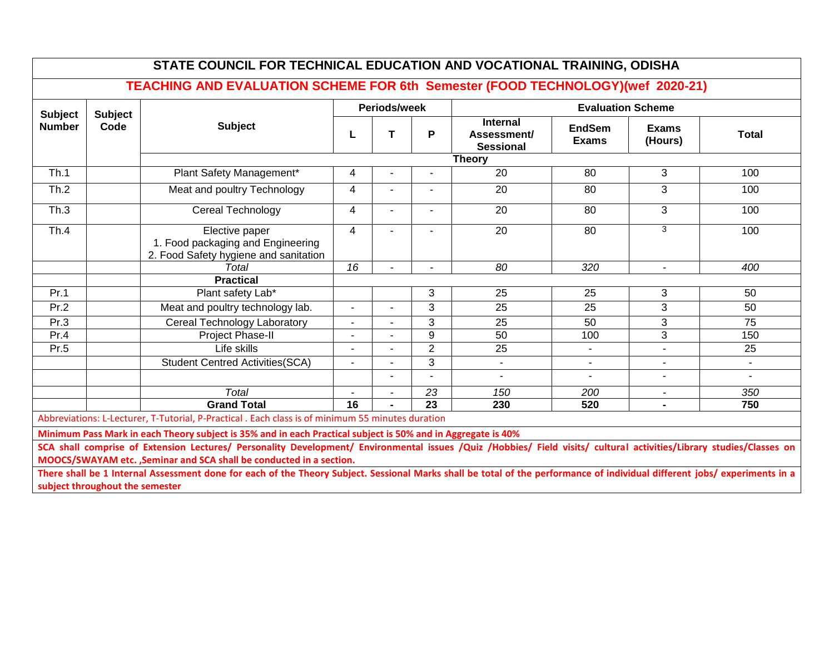|                                 |                        |                                                                                              | Periods/week   |                | <b>Evaluation Scheme</b> |                                             |                               |                          |              |
|---------------------------------|------------------------|----------------------------------------------------------------------------------------------|----------------|----------------|--------------------------|---------------------------------------------|-------------------------------|--------------------------|--------------|
| <b>Subject</b><br><b>Number</b> | <b>Subject</b><br>Code | <b>Subject</b>                                                                               |                | т              | P                        | Internal<br>Assessment/<br><b>Sessional</b> | <b>EndSem</b><br><b>Exams</b> | <b>Exams</b><br>(Hours)  | <b>Total</b> |
|                                 |                        |                                                                                              |                |                |                          | <b>Theory</b>                               |                               |                          |              |
| Th.1                            |                        | Plant Safety Management*                                                                     | 4              |                | ٠                        | 20                                          | 80                            | 3                        | 100          |
| Th.2                            |                        | Meat and poultry Technology                                                                  | 4              |                |                          | 20                                          | 80                            | 3                        | 100          |
| Th.3                            |                        | Cereal Technology                                                                            | 4              | ÷              | $\blacksquare$           | 20                                          | 80                            | 3                        | 100          |
| Th.4                            |                        | Elective paper<br>1. Food packaging and Engineering<br>2. Food Safety hygiene and sanitation | 4              |                |                          | 20                                          | 80                            | 3                        | 100          |
|                                 |                        | Total                                                                                        | 16             |                |                          | 80                                          | 320                           | $\overline{\phantom{a}}$ | 400          |
|                                 |                        | <b>Practical</b>                                                                             |                |                |                          |                                             |                               |                          |              |
| Pr.1                            |                        | Plant safety Lab*                                                                            |                |                | 3                        | 25                                          | 25                            | 3                        | 50           |
| Pr.2                            |                        | Meat and poultry technology lab.                                                             | $\blacksquare$ | $\overline{a}$ | 3                        | 25                                          | 25                            | 3                        | 50           |
| Pr.3                            |                        | Cereal Technology Laboratory                                                                 | $\blacksquare$ | $\blacksquare$ | 3                        | 25                                          | 50                            | 3                        | 75           |
| Pr.4                            |                        | Project Phase-II                                                                             | $\overline{a}$ |                | $\mathbf{Q}$             | 50                                          | 100                           | 3                        | 150          |
| Pr.5                            |                        | Life skills                                                                                  |                | $\blacksquare$ | $\overline{2}$           | 25                                          | $\sim$                        |                          | 25           |
|                                 |                        | <b>Student Centred Activities (SCA)</b>                                                      |                |                | 3                        | $\blacksquare$                              | $\sim$                        |                          | $\sim$       |
|                                 |                        |                                                                                              |                | $\overline{a}$ |                          | $\overline{a}$                              | $\blacksquare$                | $\sim$                   | $\sim$       |
|                                 |                        | <b>Total</b>                                                                                 | $\blacksquare$ | ۰              | 23                       | 150                                         | 200                           | $\blacksquare$           | 350          |
|                                 |                        | <b>Grand Total</b>                                                                           | 16             |                | 23                       | 230                                         | 520                           | $\blacksquare$           | 750          |

**MOOCS/SWAYAM etc. ,Seminar and SCA shall be conducted in a section.**

**There shall be 1 Internal Assessment done for each of the Theory Subject. Sessional Marks shall be total of the performance of individual different jobs/ experiments in a subject throughout the semester**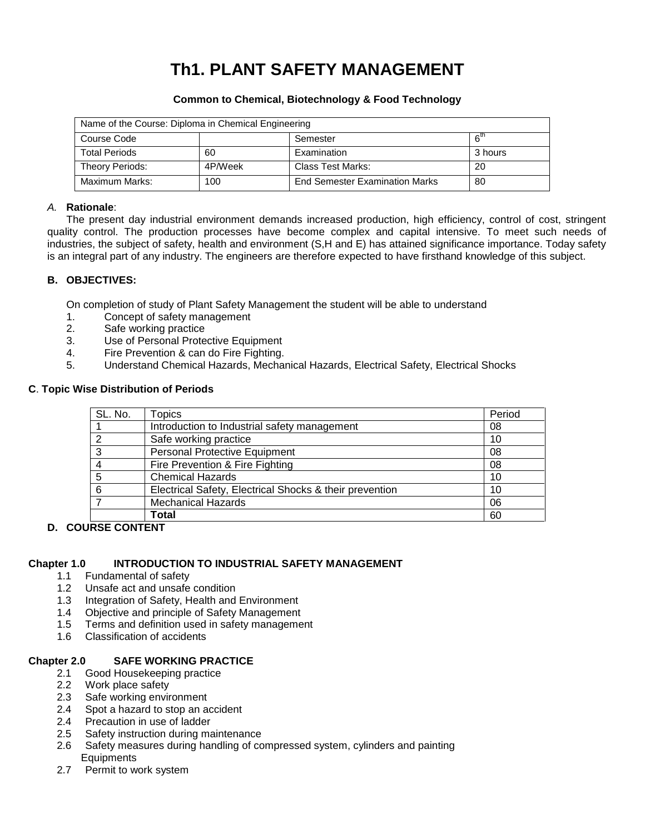## **Th1. PLANT SAFETY MANAGEMENT**

| Name of the Course: Diploma in Chemical Engineering |         |                                       |                 |
|-----------------------------------------------------|---------|---------------------------------------|-----------------|
| Course Code                                         |         | Semester                              | 6 <sup>th</sup> |
| <b>Total Periods</b>                                | 60      | Examination                           | 3 hours         |
| Theory Periods:                                     | 4P/Week | Class Test Marks:                     | 20              |
| Maximum Marks:                                      | 100     | <b>End Semester Examination Marks</b> | 80              |

#### **Common to Chemical, Biotechnology & Food Technology**

#### *A.* **Rationale**:

The present day industrial environment demands increased production, high efficiency, control of cost, stringent quality control. The production processes have become complex and capital intensive. To meet such needs of industries, the subject of safety, health and environment (S,H and E) has attained significance importance. Today safety is an integral part of any industry. The engineers are therefore expected to have firsthand knowledge of this subject.

#### **B. OBJECTIVES:**

On completion of study of Plant Safety Management the student will be able to understand

- 1. Concept of safety management
- 2. Safe working practice
- 3. Use of Personal Protective Equipment
- 4. Fire Prevention & can do Fire Fighting.
- 5. Understand Chemical Hazards, Mechanical Hazards, Electrical Safety, Electrical Shocks

#### **C**. **Topic Wise Distribution of Periods**

| SL. No. | Topics                                                  | Period |
|---------|---------------------------------------------------------|--------|
|         | Introduction to Industrial safety management            | 08     |
|         | Safe working practice                                   | 10     |
|         | <b>Personal Protective Equipment</b>                    | 08     |
|         | Fire Prevention & Fire Fighting                         | 08     |
| 5       | <b>Chemical Hazards</b>                                 | 10     |
| 6       | Electrical Safety, Electrical Shocks & their prevention | 10     |
|         | <b>Mechanical Hazards</b>                               | 06     |
|         | Total                                                   | 60     |

#### **D. COURSE CONTENT**

#### **Chapter 1.0 INTRODUCTION TO INDUSTRIAL SAFETY MANAGEMENT**

- 1.1 Fundamental of safety
- 1.2 Unsafe act and unsafe condition
- 1.3 Integration of Safety, Health and Environment
- 1.4 Objective and principle of Safety Management
- 1.5 Terms and definition used in safety management
- 1.6 Classification of accidents

#### **Chapter 2.0 SAFE WORKING PRACTICE**

- 2.1 Good Housekeeping practice
- 2.2 Work place safety
- 2.3 Safe working environment
- 2.4 Spot a hazard to stop an accident
- 2.4 Precaution in use of ladder
- 2.5 Safety instruction during maintenance
- 2.6 Safety measures during handling of compressed system, cylinders and painting **Equipments**
- 2.7 Permit to work system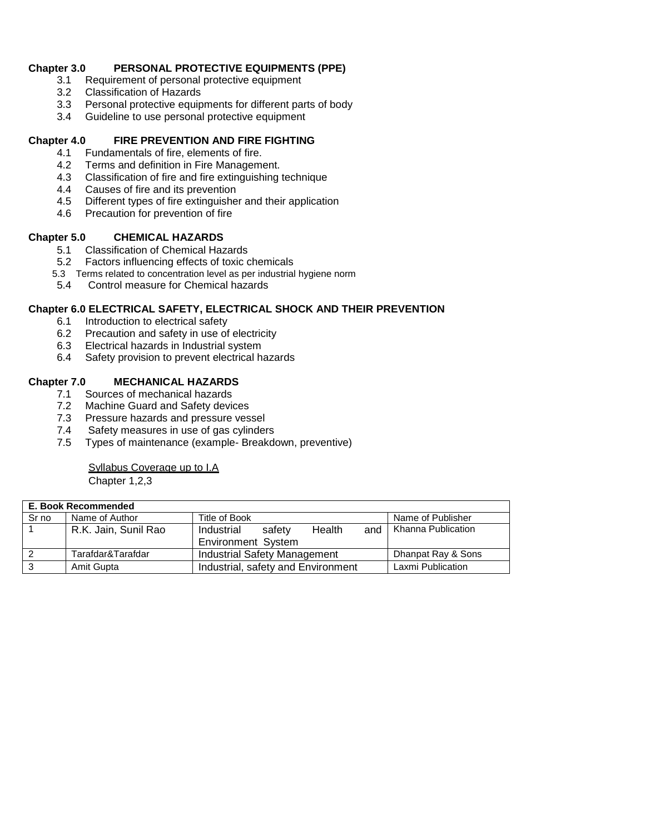#### **Chapter 3.0 PERSONAL PROTECTIVE EQUIPMENTS (PPE)**

- 3.1 Requirement of personal protective equipment
- 3.2 Classification of Hazards<br>3.3 Personal protective equip
- Personal protective equipments for different parts of body
- 3.4 Guideline to use personal protective equipment

#### **Chapter 4.0 FIRE PREVENTION AND FIRE FIGHTING**

- 4.1 Fundamentals of fire, elements of fire.
- 4.2 Terms and definition in Fire Management.
- 4.3 Classification of fire and fire extinguishing technique
- 4.4 Causes of fire and its prevention
- 4.5 Different types of fire extinguisher and their application
- 4.6 Precaution for prevention of fire

#### **Chapter 5.0 CHEMICAL HAZARDS**

- 5.1 Classification of Chemical Hazards
- 5.2 Factors influencing effects of toxic chemicals
- 5.3 Terms related to concentration level as per industrial hygiene norm
- 5.4 Control measure for Chemical hazards

#### **Chapter 6.0 ELECTRICAL SAFETY, ELECTRICAL SHOCK AND THEIR PREVENTION**

- 6.1 Introduction to electrical safety
- 6.2 Precaution and safety in use of electricity
- 6.3 Electrical hazards in Industrial system
- 6.4 Safety provision to prevent electrical hazards

- **Chapter 7.0 MECHANICAL HAZARDS**  Sources of mechanical hazards
	- 7.2 Machine Guard and Safety devices
	- 7.3 Pressure hazards and pressure vessel
	- 7.4 Safety measures in use of gas cylinders
	- 7.5 Types of maintenance (example- Breakdown, preventive)

## Syllabus Coverage up to I.A

|       | E. Book Recommended  |                                                                    |                    |  |  |
|-------|----------------------|--------------------------------------------------------------------|--------------------|--|--|
| Sr no | Name of Author       | Title of Book                                                      | Name of Publisher  |  |  |
|       | R.K. Jain, Sunil Rao | Health<br>Industrial<br>safety<br>and<br><b>Environment System</b> | Khanna Publication |  |  |
|       | Tarafdar&Tarafdar    | <b>Industrial Safety Management</b>                                | Dhanpat Ray & Sons |  |  |
|       | Amit Gupta           | Industrial, safety and Environment                                 | Laxmi Publication  |  |  |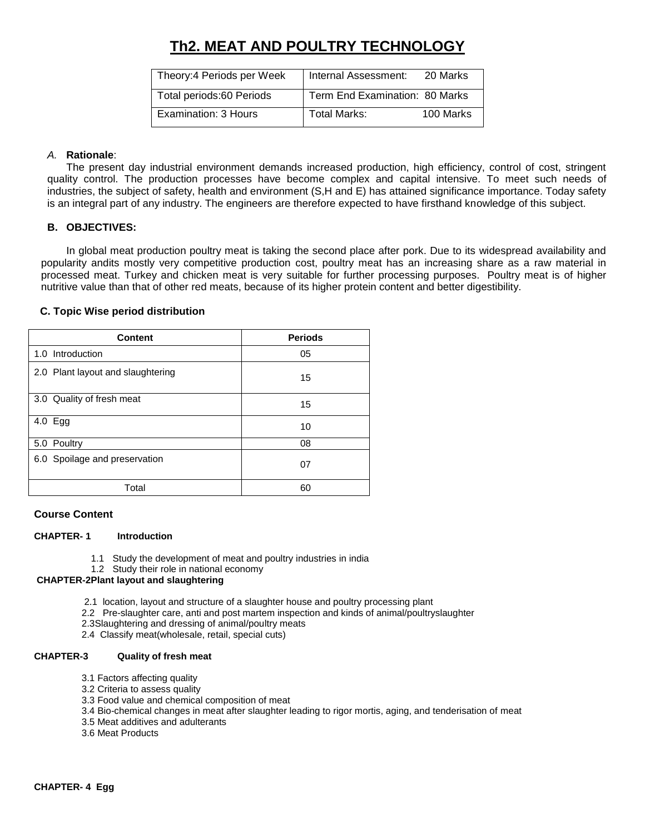## **Th2. MEAT AND POULTRY TECHNOLOGY**

| Theory: 4 Periods per Week | Internal Assessment:           | 20 Marks  |
|----------------------------|--------------------------------|-----------|
| Total periods:60 Periods   | Term End Examination: 80 Marks |           |
| Examination: 3 Hours       | Total Marks:                   | 100 Marks |

#### *A.* **Rationale**:

The present day industrial environment demands increased production, high efficiency, control of cost, stringent quality control. The production processes have become complex and capital intensive. To meet such needs of industries, the subject of safety, health and environment (S,H and E) has attained significance importance. Today safety is an integral part of any industry. The engineers are therefore expected to have firsthand knowledge of this subject.

#### **B. OBJECTIVES:**

In global meat production poultry meat is taking the second place after pork. Due to its widespread availability and popularity andits mostly very competitive production cost, poultry meat has an increasing share as a raw material in processed meat. Turkey and chicken meat is very suitable for further processing purposes. Poultry meat is of higher nutritive value than that of other red meats, because of its higher protein content and better digestibility.

#### **C. Topic Wise period distribution**

| <b>Content</b>                    | <b>Periods</b> |
|-----------------------------------|----------------|
| 1.0 Introduction                  | 05             |
| 2.0 Plant layout and slaughtering | 15             |
| 3.0 Quality of fresh meat         | 15             |
| 4.0 Egg                           | 10             |
| 5.0 Poultry                       | 08             |
| 6.0 Spoilage and preservation     | 07             |
| Total                             | 60             |

#### **Course Content**

#### **CHAPTER- 1 Introduction**

- 1.1 Study the development of meat and poultry industries in india
- 1.2 Study their role in national economy

#### **CHAPTER-2Plant layout and slaughtering**

- 2.1 location, layout and structure of a slaughter house and poultry processing plant
- 2.2 Pre-slaughter care, anti and post martem inspection and kinds of animal/poultryslaughter
- 2.3Slaughtering and dressing of animal/poultry meats
- 2.4 Classify meat(wholesale, retail, special cuts)

#### **CHAPTER-3 Quality of fresh meat**

- 3.1 Factors affecting quality
- 3.2 Criteria to assess quality
- 3.3 Food value and chemical composition of meat
- 3.4 Bio-chemical changes in meat after slaughter leading to rigor mortis, aging, and tenderisation of meat
- 3.5 Meat additives and adulterants
- 3.6 Meat Products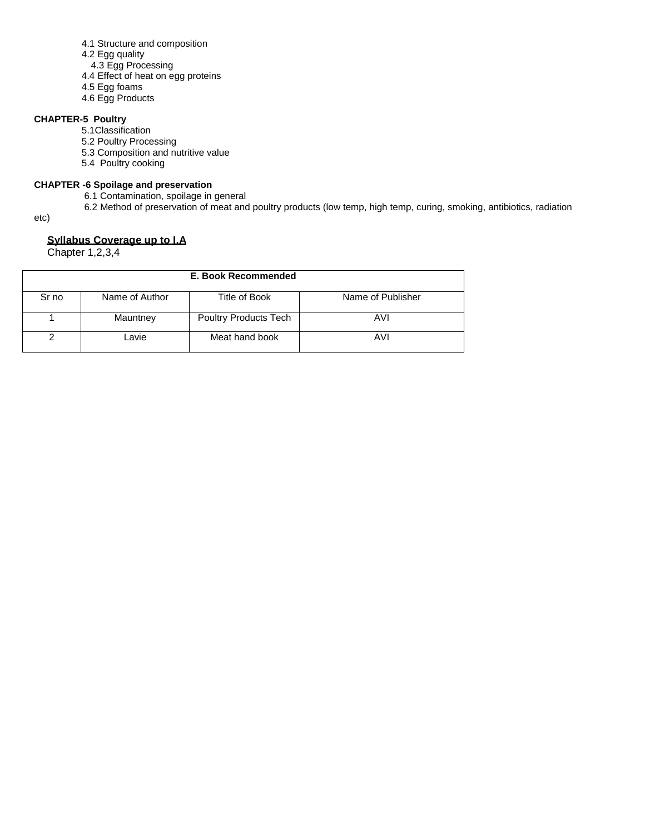- 4.1 Structure and composition
- 4.2 Egg quality
- 4.3 Egg Processing
- 4.4 Effect of heat on egg proteins
- 4.5 Egg foams
- 4.6 Egg Products

#### **CHAPTER-5 Poultry**

- 5.1Classification
- 5.2 Poultry Processing
- 5.3 Composition and nutritive value
- 5.4 Poultry cooking

#### **CHAPTER -6 Spoilage and preservation**

- 6.1 Contamination, spoilage in general
- 6.2 Method of preservation of meat and poultry products (low temp, high temp, curing, smoking, antibiotics, radiation

etc)

### **Syllabus Coverage up to I.A**

| E. Book Recommended |                |                              |                   |  |
|---------------------|----------------|------------------------------|-------------------|--|
| Sr no               | Name of Author | Title of Book                | Name of Publisher |  |
|                     | Mauntney       | <b>Poultry Products Tech</b> | AVI               |  |
|                     | Lavie          | Meat hand book               | AVI               |  |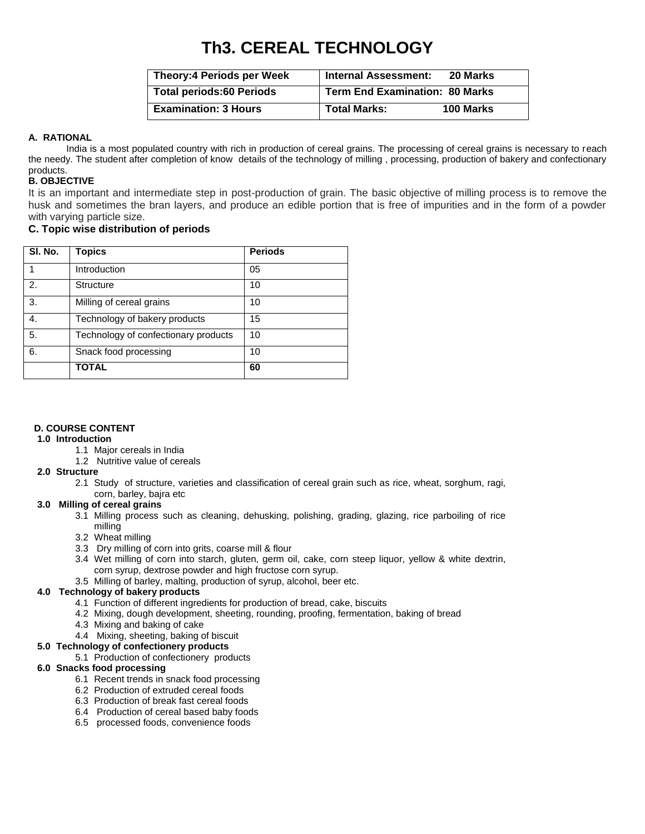## **Th3. CEREAL TECHNOLOGY**

| <b>Theory:4 Periods per Week</b> | <b>Internal Assessment:</b>           | 20 Marks  |
|----------------------------------|---------------------------------------|-----------|
| <b>Total periods:60 Periods</b>  | <b>Term End Examination: 80 Marks</b> |           |
| <b>Examination: 3 Hours</b>      | <b>Total Marks:</b>                   | 100 Marks |

#### **A. RATIONAL**

India is a most populated country with rich in production of cereal grains. The processing of cereal grains is necessary to reach the needy. The student after completion of know details of the technology of milling , processing, production of bakery and confectionary products.

#### **B. OBJECTIVE**

It is an important and intermediate step in post-production of grain. The basic objective of milling process is to remove the husk and sometimes the bran layers, and produce an edible portion that is free of impurities and in the form of a powder with varying particle size.

#### **C. Topic wise distribution of periods**

| SI. No. | Topics                               | <b>Periods</b> |
|---------|--------------------------------------|----------------|
|         | Introduction                         | 05             |
| 2.      | <b>Structure</b>                     | 10             |
| 3.      | Milling of cereal grains             | 10             |
| 4.      | Technology of bakery products        | 15             |
| 5.      | Technology of confectionary products | 10             |
| 6.      | Snack food processing                | 10             |
|         | <b>TOTAL</b>                         | 60             |

#### **D. COURSE CONTENT**

#### **1.0 Introduction**

- 1.1 Major cereals in India
- 1.2 Nutritive value of cereals

#### **2.0 Structure**

2.1 Study of structure, varieties and classification of cereal grain such as rice, wheat, sorghum, ragi, corn, barley, bajra etc

### **3.0 Milling of cereal grains**

- 3.1 Milling process such as cleaning, dehusking, polishing, grading, glazing, rice parboiling of rice milling
- 3.2 Wheat milling
- 3.3 Dry milling of corn into grits, coarse mill & flour
- 3.4 Wet milling of corn into starch, gluten, germ oil, cake, corn steep liquor, yellow & white dextrin, corn syrup, dextrose powder and high fructose corn syrup.
- 3.5 Milling of barley, malting, production of syrup, alcohol, beer etc.

#### **4.0 Technology of bakery products**

- 4.1 Function of different ingredients for production of bread, cake, biscuits
- 4.2 Mixing, dough development, sheeting, rounding, proofing, fermentation, baking of bread
- 4.3 Mixing and baking of cake
- 4.4 Mixing, sheeting, baking of biscuit

#### **5.0 Technology of confectionery products**

5.1 Production of confectionery products

#### **6.0 Snacks food processing**

- 6.1 Recent trends in snack food processing
- 6.2 Production of extruded cereal foods
- 6.3 Production of break fast cereal foods
- 6.4 Production of cereal based baby foods
- 6.5 processed foods, convenience foods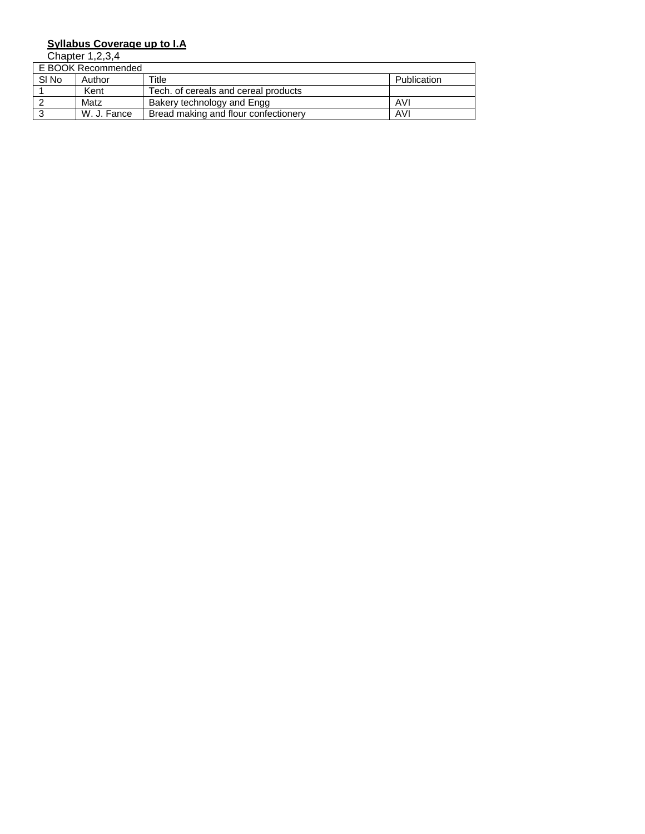#### **Syllabus Coverage up to I.A**

|       | E BOOK Recommended |                                      |             |  |  |
|-------|--------------------|--------------------------------------|-------------|--|--|
| SI No | Author             | Title                                | Publication |  |  |
|       | Kent               | Tech, of cereals and cereal products |             |  |  |
|       | Matz               | Bakery technology and Engg           | AVI         |  |  |
|       | W. J. Fance        | Bread making and flour confectionery | AVI         |  |  |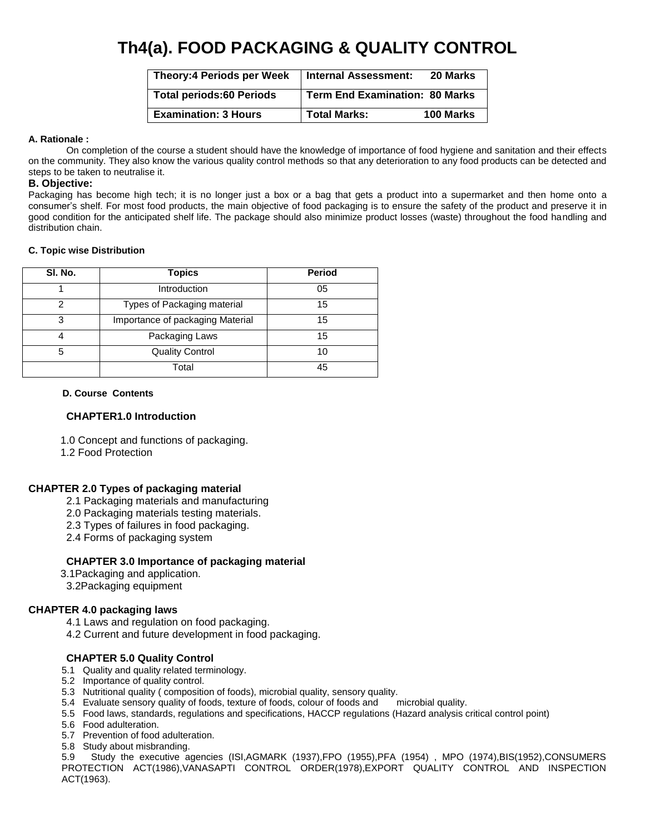## **Th4(a). FOOD PACKAGING & QUALITY CONTROL**

| <b>Theory:4 Periods per Week</b> | <b>Internal Assessment:</b>    | 20 Marks  |
|----------------------------------|--------------------------------|-----------|
| <b>Total periods:60 Periods</b>  | Term End Examination: 80 Marks |           |
| <b>Examination: 3 Hours</b>      | <b>Total Marks:</b>            | 100 Marks |

#### **A. Rationale :**

On completion of the course a student should have the knowledge of importance of food hygiene and sanitation and their effects on the community. They also know the various quality control methods so that any deterioration to any food products can be detected and steps to be taken to neutralise it.

#### **B. Objective:**

Packaging has become high tech; it is no longer just a box or a bag that gets a product into a supermarket and then home onto a consumer's shelf. For most food products, the main objective of food packaging is to ensure the safety of the product and preserve it in good condition for the anticipated shelf life. The package should also minimize product losses (waste) throughout the food handling and distribution chain.

#### **C. Topic wise Distribution**

| SI. No. | <b>Topics</b>                    | <b>Period</b> |
|---------|----------------------------------|---------------|
|         | Introduction                     | 05            |
| 2       | Types of Packaging material      | 15            |
| 3       | Importance of packaging Material | 15            |
|         | Packaging Laws                   | 15            |
| 5       | <b>Quality Control</b>           | 10            |
|         | Total                            | 45            |

#### **D. Course Contents**

#### **CHAPTER1.0 Introduction**

1.0 Concept and functions of packaging.

1.2 Food Protection

#### **CHAPTER 2.0 Types of packaging material**

- 2.1 Packaging materials and manufacturing
- 2.0 Packaging materials testing materials.
- 2.3 Types of failures in food packaging.
- 2.4 Forms of packaging system

#### **CHAPTER 3.0 Importance of packaging material**

- 3.1Packaging and application.
- 3.2Packaging equipment

#### **CHAPTER 4.0 packaging laws**

- 4.1 Laws and regulation on food packaging.
- 4.2 Current and future development in food packaging.

#### **CHAPTER 5.0 Quality Control**

- 5.1 Quality and quality related terminology.
- 5.2 Importance of quality control.
- 5.3 Nutritional quality ( composition of foods), microbial quality, sensory quality.
- 5.4 Evaluate sensory quality of foods, texture of foods, colour of foods and microbial quality.
- 5.5 Food laws, standards, regulations and specifications, HACCP regulations (Hazard analysis critical control point)
- 5.6 Food adulteration.
- 5.7 Prevention of food adulteration.
- 5.8 Study about misbranding.

5.9 Study the executive agencies (ISI,AGMARK (1937),FPO (1955),PFA (1954) , MPO (1974),BIS(1952),CONSUMERS PROTECTION ACT(1986),VANASAPTI CONTROL ORDER(1978),EXPORT QUALITY CONTROL AND INSPECTION ACT(1963).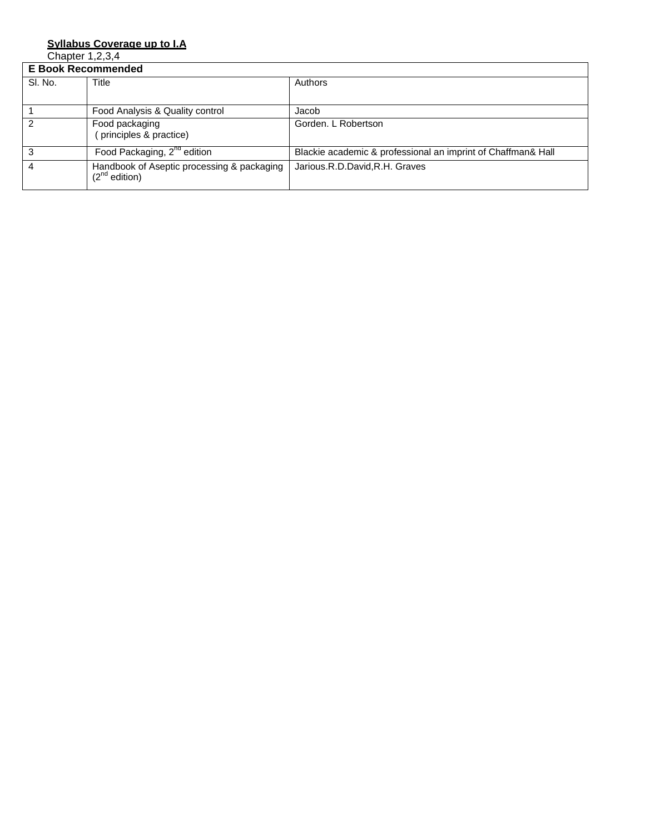#### **Syllabus Coverage up to I.A**

|         | <b>E Book Recommended</b>                                        |                                                              |  |
|---------|------------------------------------------------------------------|--------------------------------------------------------------|--|
| SI. No. | Title                                                            | Authors                                                      |  |
|         | Food Analysis & Quality control                                  | Jacob                                                        |  |
| 2       | Food packaging<br>(principles & practice)                        | Gorden, L Robertson                                          |  |
| 3       | Food Packaging, 2 <sup>nd</sup> edition                          | Blackie academic & professional an imprint of Chaffman& Hall |  |
|         | Handbook of Aseptic processing & packaging<br>$(2^{nd}$ edition) | Jarious.R.D.David,R.H. Graves                                |  |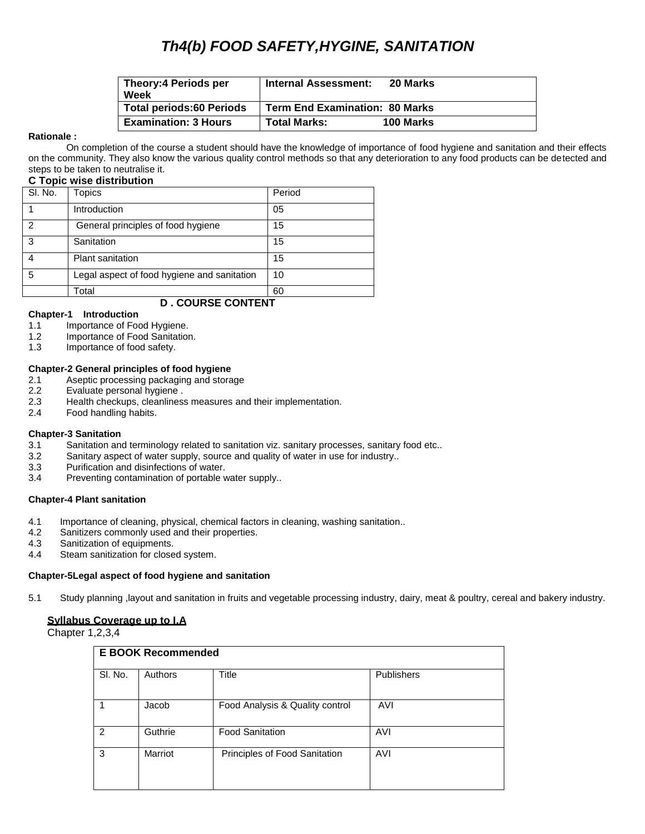## *Th4(b) FOOD SAFETY,HYGINE, SANITATION*

| <b>Theory:4 Periods per</b><br>Week | <b>Internal Assessment:</b>           | 20 Marks  |
|-------------------------------------|---------------------------------------|-----------|
| <b>Total periods:60 Periods</b>     | <b>Term End Examination: 80 Marks</b> |           |
| <b>Examination: 3 Hours</b>         | <b>Total Marks:</b>                   | 100 Marks |

#### **Rationale :**

On completion of the course a student should have the knowledge of importance of food hygiene and sanitation and their effects on the community. They also know the various quality control methods so that any deterioration to any food products can be detected and steps to be taken to neutralise it.

#### **C Topic wise distribution**

| SI. No.                   | Topics                                      | Period |
|---------------------------|---------------------------------------------|--------|
|                           | Introduction                                | 05     |
| 2                         | General principles of food hygiene          | 15     |
| 3                         | Sanitation                                  | 15     |
|                           | <b>Plant sanitation</b>                     | 15     |
| 5                         | Legal aspect of food hygiene and sanitation | 10     |
|                           | Total                                       | 60     |
| <b>D . COURSE CONTENT</b> |                                             |        |

#### **Chapter-1 Introduction**

- 1.1 Importance of Food Hygiene.
- 1.2 Importance of Food Sanitation.
- 1.3 Importance of food safety.

#### **Chapter-2 General principles of food hygiene**

- 2.1 Aseptic processing packaging and storage
- 2.2 Evaluate personal hygiene .
- 2.3 Health checkups, cleanliness measures and their implementation.<br>2.4 Food handling habits.
- Food handling habits.

#### **Chapter-3 Sanitation**

- 3.1 Sanitation and terminology related to sanitation viz. sanitary processes, sanitary food etc..
- 3.2 Sanitary aspect of water supply, source and quality of water in use for industry..
- 3.3 Purification and disinfections of water.
- 3.4 Preventing contamination of portable water supply..

#### **Chapter-4 Plant sanitation**

- 4.1 Importance of cleaning, physical, chemical factors in cleaning, washing sanitation..<br>4.2 Sanitizers commonly used and their properties.
- Sanitizers commonly used and their properties.
- 4.3 Sanitization of equipments.
- 4.4 Steam sanitization for closed system.

#### **Chapter-5Legal aspect of food hygiene and sanitation**

5.1 Study planning ,layout and sanitation in fruits and vegetable processing industry, dairy, meat & poultry, cereal and bakery industry.

#### **Syllabus Coverage up to I.A**

| <b>E BOOK Recommended</b> |         |                                 |                   |
|---------------------------|---------|---------------------------------|-------------------|
| SI. No.                   | Authors | <b>Title</b>                    | <b>Publishers</b> |
|                           | Jacob   | Food Analysis & Quality control | AVI               |
| $\mathcal{P}$             | Guthrie | <b>Food Sanitation</b>          | AVI               |
| 3                         | Marriot | Principles of Food Sanitation   | AVI               |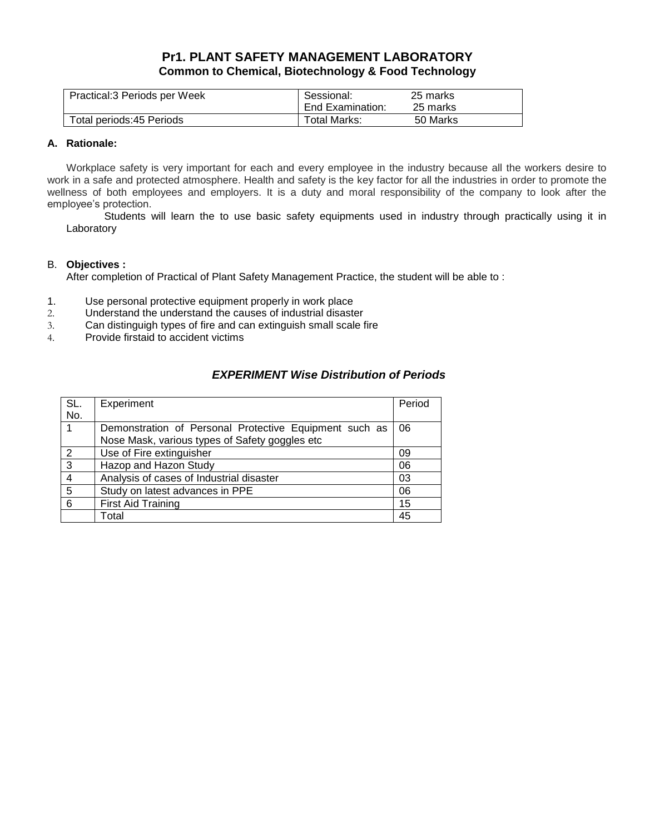### **Pr1. PLANT SAFETY MANAGEMENT LABORATORY Common to Chemical, Biotechnology & Food Technology**

| Practical:3 Periods per Week | Sessional:       | 25 marks |
|------------------------------|------------------|----------|
|                              | End Examination: | 25 marks |
| Total periods: 45 Periods    | Total Marks:     | 50 Marks |

#### **A. Rationale:**

Workplace safety is very important for each and every employee in the industry because all the workers desire to work in a safe and protected atmosphere. Health and safety is the key factor for all the industries in order to promote the wellness of both employees and employers. It is a duty and moral responsibility of the company to look after the employee's protection.

Students will learn the to use basic safety equipments used in industry through practically using it in Laboratory

#### B. **Objectives :**

After completion of Practical of Plant Safety Management Practice, the student will be able to :

- 1. Use personal protective equipment properly in work place
- 2. Understand the understand the causes of industrial disaster
- 3. Can distinguigh types of fire and can extinguish small scale fire
- 4. Provide firstaid to accident victims

### *EXPERIMENT Wise Distribution of Periods*

| SL.            | Experiment                                                                                               | Period |
|----------------|----------------------------------------------------------------------------------------------------------|--------|
| No.            |                                                                                                          |        |
|                | Demonstration of Personal Protective Equipment such as<br>Nose Mask, various types of Safety goggles etc | 06     |
| $\overline{2}$ | Use of Fire extinguisher                                                                                 | 09     |
| 3              | Hazop and Hazon Study                                                                                    | 06     |
|                | Analysis of cases of Industrial disaster                                                                 | 03     |
| 5              | Study on latest advances in PPE                                                                          | 06     |
| 6              | <b>First Aid Training</b>                                                                                | 15     |
|                | Total                                                                                                    | 45     |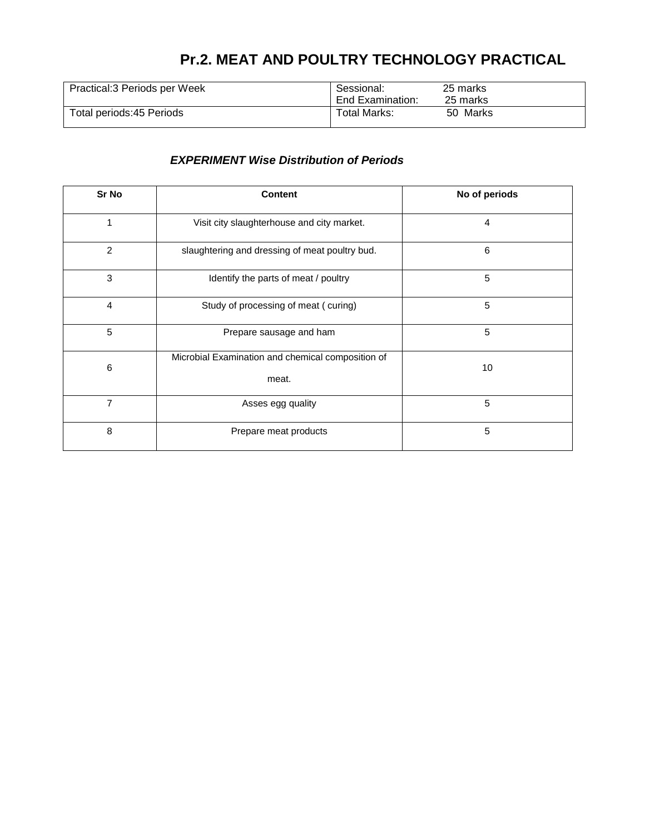## **Pr.2. MEAT AND POULTRY TECHNOLOGY PRACTICAL**

| Practical: 3 Periods per Week | Sessional:<br>End Examination: | 25 marks<br>25 marks |
|-------------------------------|--------------------------------|----------------------|
| Total periods: 45 Periods     | Total Marks:                   | 50 Marks             |

### *EXPERIMENT Wise Distribution of Periods*

| Sr No          | <b>Content</b>                                             | No of periods |
|----------------|------------------------------------------------------------|---------------|
| 1              | Visit city slaughterhouse and city market.                 | 4             |
| $\overline{2}$ | slaughtering and dressing of meat poultry bud.             | 6             |
| 3              | Identify the parts of meat / poultry                       | 5             |
| $\overline{4}$ | Study of processing of meat (curing)                       | 5             |
| 5              | Prepare sausage and ham                                    | 5             |
| $\,6$          | Microbial Examination and chemical composition of<br>meat. | 10            |
| $\overline{7}$ | Asses egg quality                                          | 5             |
| 8              | Prepare meat products                                      | 5             |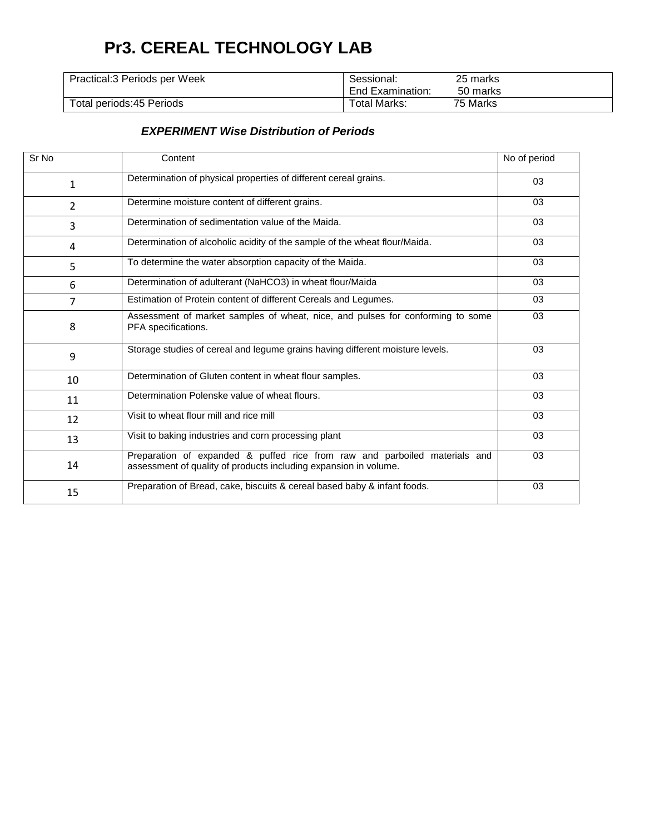## **Pr3. CEREAL TECHNOLOGY LAB**

| Practical: 3 Periods per Week | Sessional:<br>End Examination: | 25 marks<br>50 marks |
|-------------------------------|--------------------------------|----------------------|
|                               |                                |                      |
| Total periods: 45 Periods     | Total Marks:                   | 75 Marks             |

#### *EXPERIMENT Wise Distribution of Periods*

| Sr <sub>No</sub> | Content                                                                                                                                        | No of period |
|------------------|------------------------------------------------------------------------------------------------------------------------------------------------|--------------|
| 1                | Determination of physical properties of different cereal grains.                                                                               | 03           |
| 2                | Determine moisture content of different grains.                                                                                                | 03           |
| 3                | Determination of sedimentation value of the Maida.                                                                                             | 03           |
| 4                | Determination of alcoholic acidity of the sample of the wheat flour/Maida.                                                                     | 03           |
| 5                | To determine the water absorption capacity of the Maida.                                                                                       | 03           |
| 6                | Determination of adulterant (NaHCO3) in wheat flour/Maida                                                                                      | 03           |
| $\overline{7}$   | Estimation of Protein content of different Cereals and Legumes.                                                                                | 03           |
| 8                | Assessment of market samples of wheat, nice, and pulses for conforming to some<br>PFA specifications.                                          | 03           |
| 9                | Storage studies of cereal and legume grains having different moisture levels.                                                                  | 03           |
| 10               | Determination of Gluten content in wheat flour samples.                                                                                        | 03           |
| 11               | Determination Polenske value of wheat flours.                                                                                                  | 03           |
| 12               | Visit to wheat flour mill and rice mill                                                                                                        | 03           |
| 13               | Visit to baking industries and corn processing plant                                                                                           | 03           |
| 14               | Preparation of expanded & puffed rice from raw and parboiled materials and<br>assessment of quality of products including expansion in volume. | 03           |
| 15               | Preparation of Bread, cake, biscuits & cereal based baby & infant foods.                                                                       | 03           |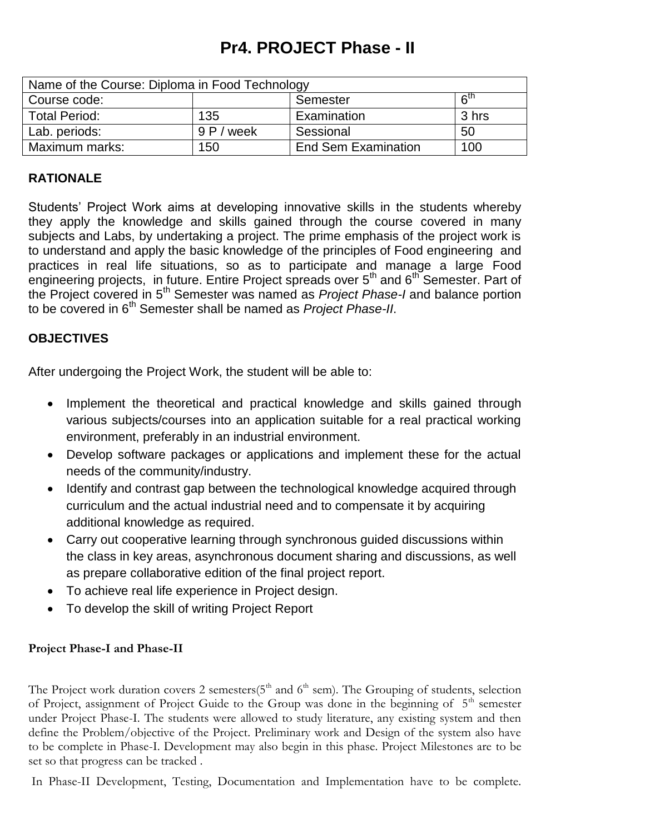## **Pr4. PROJECT Phase - II**

| Name of the Course: Diploma in Food Technology |         |                            |                      |
|------------------------------------------------|---------|----------------------------|----------------------|
| Course code:                                   |         | Semester                   | $\kappa^{\text{th}}$ |
| <b>Total Period:</b>                           | 135     | Examination                | 3 hrs                |
| Lab. periods:                                  | 9P/week | Sessional                  | 50                   |
| Maximum marks:                                 | 150     | <b>End Sem Examination</b> | 100                  |

### **RATIONALE**

Students' Project Work aims at developing innovative skills in the students whereby they apply the knowledge and skills gained through the course covered in many subjects and Labs, by undertaking a project. The prime emphasis of the project work is to understand and apply the basic knowledge of the principles of Food engineering and practices in real life situations, so as to participate and manage a large Food engineering projects, in future. Entire Project spreads over 5<sup>th</sup> and 6<sup>th</sup> Semester. Part of the Project covered in 5th Semester was named as *Project Phase-I* and balance portion to be covered in 6th Semester shall be named as *Project Phase-II*.

### **OBJECTIVES**

After undergoing the Project Work, the student will be able to:

- Implement the theoretical and practical knowledge and skills gained through various subjects/courses into an application suitable for a real practical working environment, preferably in an industrial environment.
- Develop software packages or applications and implement these for the actual needs of the community/industry.
- Identify and contrast gap between the technological knowledge acquired through curriculum and the actual industrial need and to compensate it by acquiring additional knowledge as required.
- Carry out cooperative learning through synchronous guided discussions within the class in key areas, asynchronous document sharing and discussions, as well as prepare collaborative edition of the final project report.
- To achieve real life experience in Project design.
- To develop the skill of writing Project Report

### **Project Phase-I and Phase-II**

The Project work duration covers 2 semesters( $5<sup>th</sup>$  and  $6<sup>th</sup>$  sem). The Grouping of students, selection of Project, assignment of Project Guide to the Group was done in the beginning of  $5<sup>th</sup>$  semester under Project Phase-I. The students were allowed to study literature, any existing system and then define the Problem/objective of the Project. Preliminary work and Design of the system also have to be complete in Phase-I. Development may also begin in this phase. Project Milestones are to be set so that progress can be tracked .

In Phase-II Development, Testing, Documentation and Implementation have to be complete.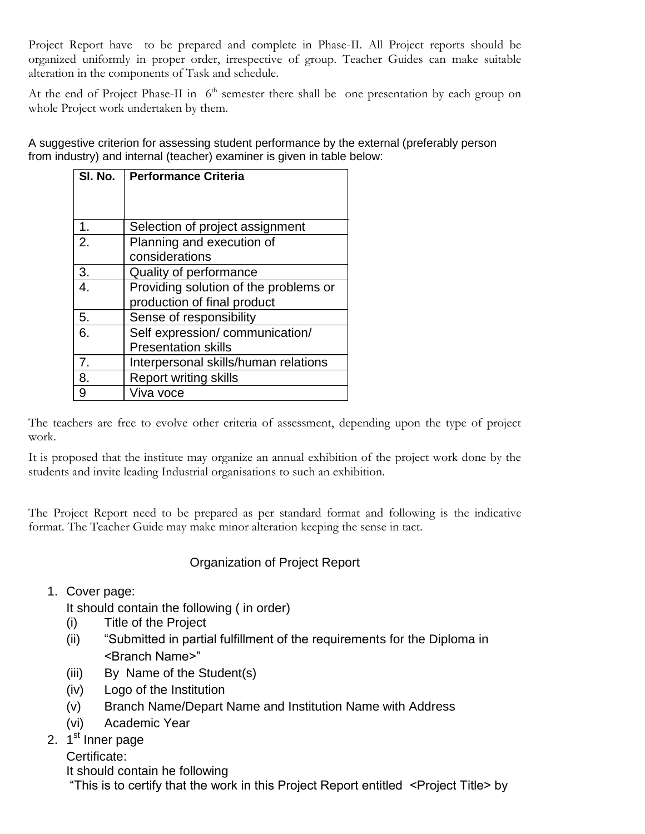Project Report have to be prepared and complete in Phase-II. All Project reports should be organized uniformly in proper order, irrespective of group. Teacher Guides can make suitable alteration in the components of Task and schedule.

At the end of Project Phase-II in  $6<sup>th</sup>$  semester there shall be one presentation by each group on whole Project work undertaken by them.

A suggestive criterion for assessing student performance by the external (preferably person from industry) and internal (teacher) examiner is given in table below:

| SI. No.        | <b>Performance Criteria</b>           |
|----------------|---------------------------------------|
|                |                                       |
|                |                                       |
| 1.             | Selection of project assignment       |
| 2.             | Planning and execution of             |
|                | considerations                        |
| 3.             | Quality of performance                |
| 4.             | Providing solution of the problems or |
|                | production of final product           |
| 5.             | Sense of responsibility               |
| 6.             | Self expression/communication/        |
|                | <b>Presentation skills</b>            |
| 7 <sub>1</sub> | Interpersonal skills/human relations  |
| 8.             | <b>Report writing skills</b>          |
| 9              | Viva voce                             |

The teachers are free to evolve other criteria of assessment, depending upon the type of project work.

It is proposed that the institute may organize an annual exhibition of the project work done by the students and invite leading Industrial organisations to such an exhibition.

The Project Report need to be prepared as per standard format and following is the indicative format. The Teacher Guide may make minor alteration keeping the sense in tact.

### Organization of Project Report

### 1. Cover page:

It should contain the following ( in order)

- (i) Title of the Project
- (ii) "Submitted in partial fulfillment of the requirements for the Diploma in <Branch Name>‖
- (iii) By Name of the Student(s)
- (iv) Logo of the Institution
- (v) Branch Name/Depart Name and Institution Name with Address
- (vi) Academic Year
- 2. 1<sup>st</sup> Inner page
	- Certificate:

It should contain he following

―This is to certify that the work in this Project Report entitled <Project Title> by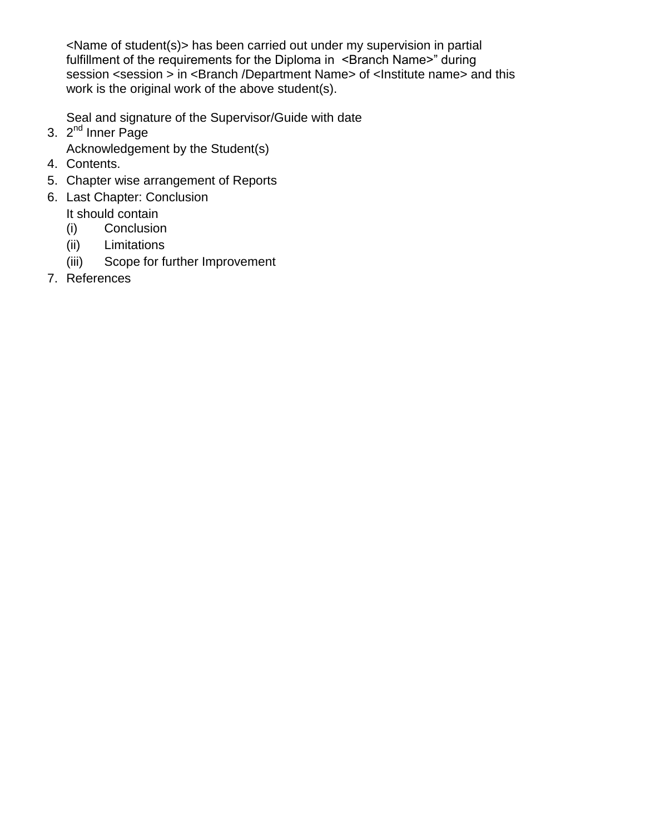<Name of student(s)> has been carried out under my supervision in partial fulfillment of the requirements for the Diploma in <Branch Name>" during session <session > in <Branch /Department Name> of <lnstitute name> and this work is the original work of the above student(s).

Seal and signature of the Supervisor/Guide with date

- 3. 2<sup>nd</sup> Inner Page
	- Acknowledgement by the Student(s)
- 4. Contents.
- 5. Chapter wise arrangement of Reports
- 6. Last Chapter: Conclusion
	- It should contain
	- (i) Conclusion
	- (ii) Limitations
	- (iii) Scope for further Improvement
- 7. References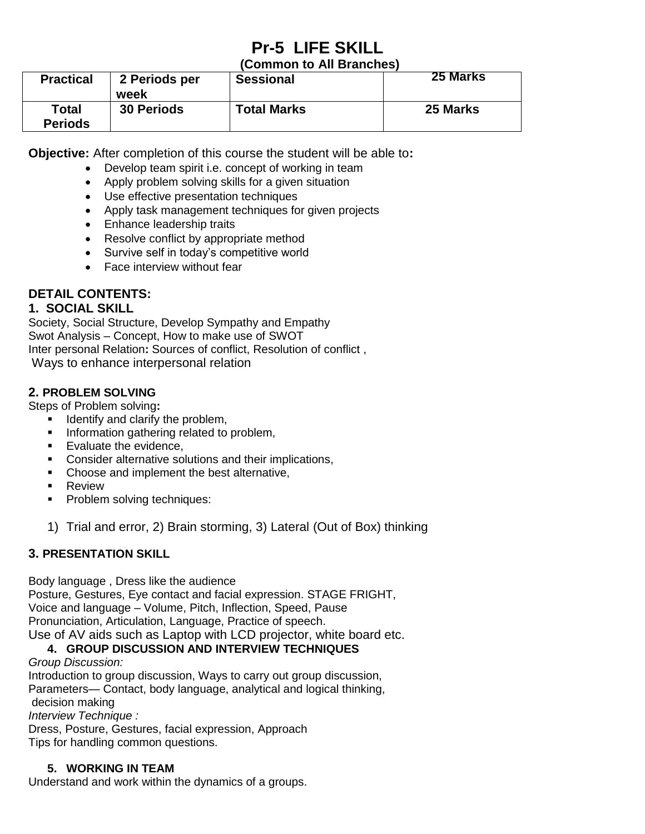# **Pr-5 LIFE SKILL**

### **(Common to All Branches)**

| <b>Practical</b>               | 2 Periods per<br>week | <b>Sessional</b>   | 25 Marks |
|--------------------------------|-----------------------|--------------------|----------|
| <b>Total</b><br><b>Periods</b> | <b>30 Periods</b>     | <b>Total Marks</b> | 25 Marks |

**Objective:** After completion of this course the student will be able to**:**

- Develop team spirit i.e. concept of working in team
- Apply problem solving skills for a given situation
- Use effective presentation techniques
- Apply task management techniques for given projects
- Enhance leadership traits
- Resolve conflict by appropriate method
- Survive self in today's competitive world
- Face interview without fear

## **DETAIL CONTENTS:**

### **1. SOCIAL SKILL**

Society, Social Structure, Develop Sympathy and Empathy Swot Analysis – Concept, How to make use of SWOT Inter personal Relation**:** Sources of conflict, Resolution of conflict , Ways to enhance interpersonal relation

### **2. PROBLEM SOLVING**

Steps of Problem solving**:** 

- $\blacksquare$  Identify and clarify the problem,
- **Information gathering related to problem,**
- **Evaluate the evidence.**
- **Consider alternative solutions and their implications,**
- Choose and implement the best alternative,
- **Review**
- **Problem solving techniques:**
- 1) Trial and error, 2) Brain storming, 3) Lateral (Out of Box) thinking

### **3. PRESENTATION SKILL**

Body language , Dress like the audience

Posture, Gestures, Eye contact and facial expression. STAGE FRIGHT, Voice and language – Volume, Pitch, Inflection, Speed, Pause Pronunciation, Articulation, Language, Practice of speech. Use of AV aids such as Laptop with LCD projector, white board etc.

### **4. GROUP DISCUSSION AND INTERVIEW TECHNIQUES**

### *Group Discussion:*

Introduction to group discussion, Ways to carry out group discussion, Parameters— Contact, body language, analytical and logical thinking, decision making

*Interview Technique :*

Dress, Posture, Gestures, facial expression, Approach

Tips for handling common questions.

### **5. WORKING IN TEAM**

Understand and work within the dynamics of a groups.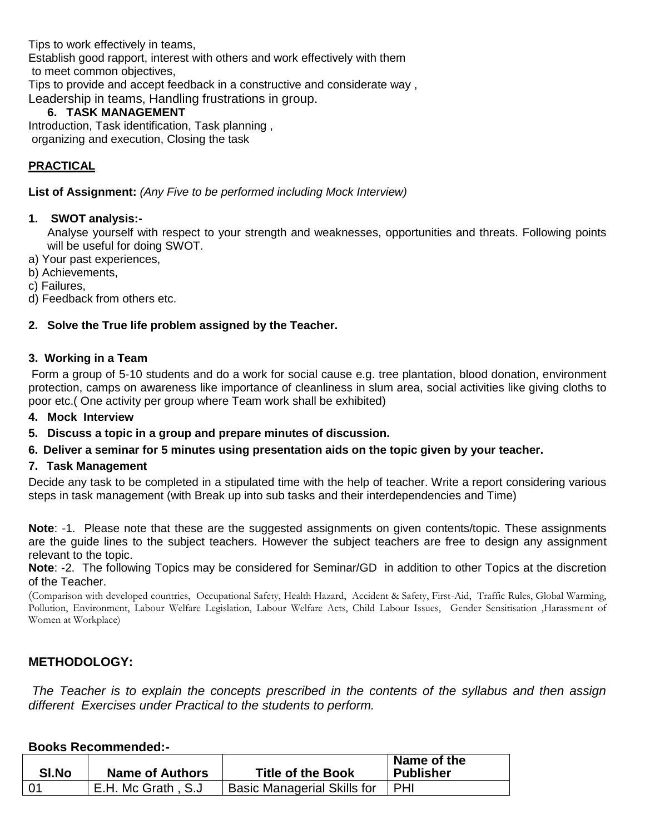Tips to work effectively in teams, Establish good rapport, interest with others and work effectively with them to meet common objectives, Tips to provide and accept feedback in a constructive and considerate way , Leadership in teams, Handling frustrations in group.

### **6. TASK MANAGEMENT**

Introduction, Task identification, Task planning , organizing and execution, Closing the task

### **PRACTICAL**

**List of Assignment:** *(Any Five to be performed including Mock Interview)*

### **1. SWOT analysis:-**

Analyse yourself with respect to your strength and weaknesses, opportunities and threats. Following points will be useful for doing SWOT.

a) Your past experiences,

b) Achievements,

c) Failures,

d) Feedback from others etc.

### **2. Solve the True life problem assigned by the Teacher.**

### **3. Working in a Team**

Form a group of 5-10 students and do a work for social cause e.g. tree plantation, blood donation, environment protection, camps on awareness like importance of cleanliness in slum area, social activities like giving cloths to poor etc.( One activity per group where Team work shall be exhibited)

### **4. Mock Interview**

### **5. Discuss a topic in a group and prepare minutes of discussion.**

### **6. Deliver a seminar for 5 minutes using presentation aids on the topic given by your teacher.**

### **7. Task Management**

Decide any task to be completed in a stipulated time with the help of teacher. Write a report considering various steps in task management (with Break up into sub tasks and their interdependencies and Time)

**Note**: -1. Please note that these are the suggested assignments on given contents/topic. These assignments are the guide lines to the subject teachers. However the subject teachers are free to design any assignment relevant to the topic.

**Note**: -2. The following Topics may be considered for Seminar/GD in addition to other Topics at the discretion of the Teacher.

(Comparison with developed countries, Occupational Safety, Health Hazard, Accident & Safety, First-Aid, Traffic Rules, Global Warming, Pollution, Environment, Labour Welfare Legislation, Labour Welfare Acts, Child Labour Issues, Gender Sensitisation ,Harassment of Women at Workplace)

### **METHODOLOGY:**

*The Teacher is to explain the concepts prescribed in the contents of the syllabus and then assign different Exercises under Practical to the students to perform.*

### **Books Recommended:-**

| <b>SI.No</b> | <b>Name of Authors</b> | <b>Title of the Book</b>    | Name of the<br><b>Publisher</b> |
|--------------|------------------------|-----------------------------|---------------------------------|
| l 0′         | E.H. Mc Grath, S.J.    | Basic Managerial Skills for | PHI                             |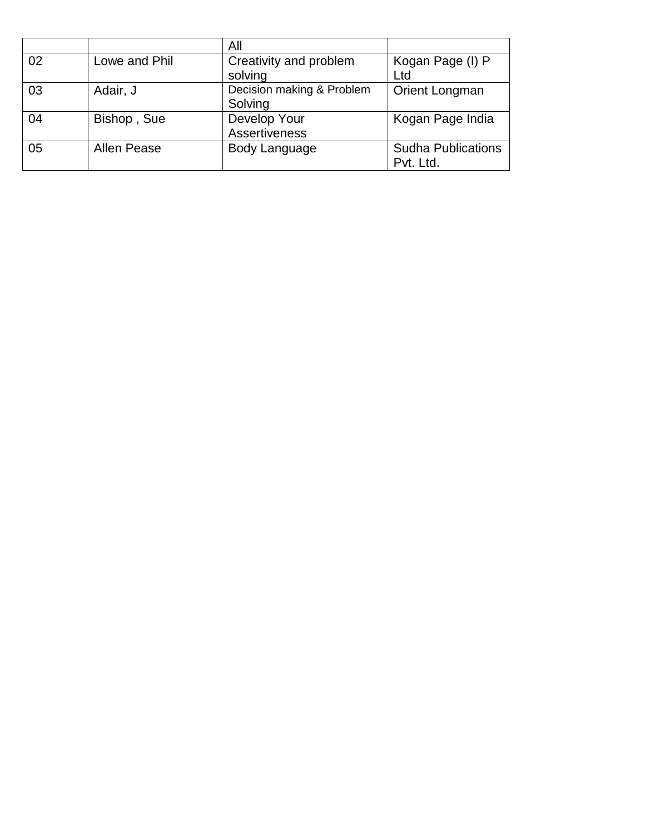|    |               | All                       |                           |
|----|---------------|---------------------------|---------------------------|
| 02 | Lowe and Phil | Creativity and problem    | Kogan Page (I) P          |
|    |               | solving                   | Ltd                       |
| 03 | Adair, J      | Decision making & Problem | Orient Longman            |
|    |               | Solving                   |                           |
| 04 | Bishop, Sue   | Develop Your              | Kogan Page India          |
|    |               | <b>Assertiveness</b>      |                           |
| 05 | Allen Pease   | Body Language             | <b>Sudha Publications</b> |
|    |               |                           | Pvt. Ltd.                 |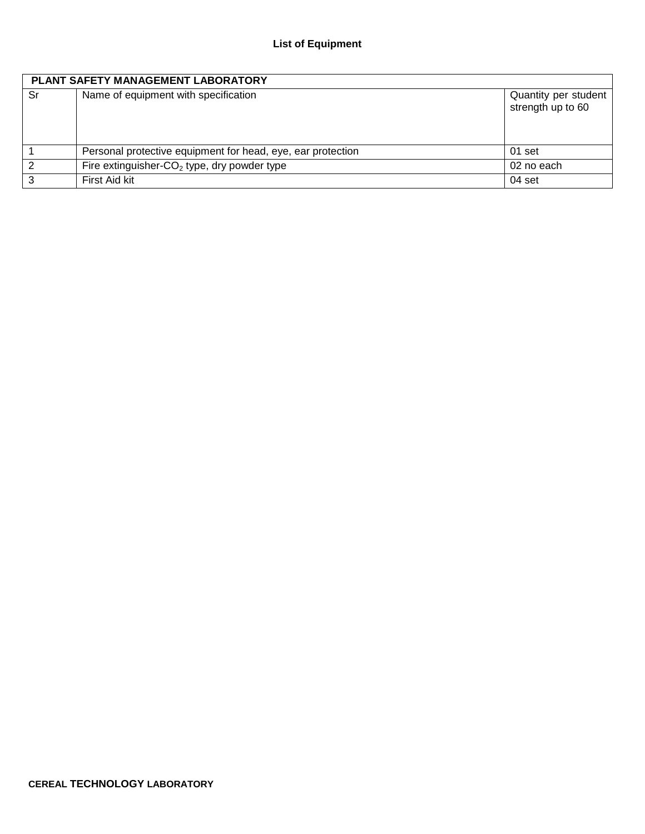| <b>PLANT SAFETY MANAGEMENT LABORATORY</b> |                                                             |                                           |  |
|-------------------------------------------|-------------------------------------------------------------|-------------------------------------------|--|
| Sr                                        | Name of equipment with specification                        | Quantity per student<br>strength up to 60 |  |
|                                           | Personal protective equipment for head, eye, ear protection | 01 set                                    |  |
| 2                                         | Fire extinguisher- $CO2$ type, dry powder type              | 02 no each                                |  |
| 3                                         | First Aid kit                                               | 04 set                                    |  |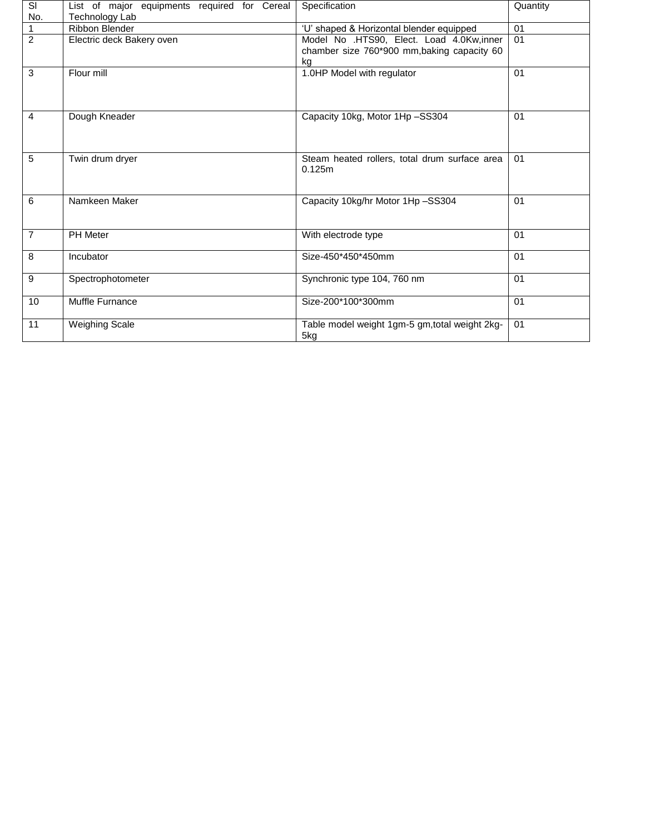| <b>SI</b>      | List of major equipments required for Cereal | Specification                                  | Quantity |
|----------------|----------------------------------------------|------------------------------------------------|----------|
| No.            | Technology Lab                               |                                                |          |
|                | Ribbon Blender                               | 'U' shaped & Horizontal blender equipped       | 01       |
| $\overline{2}$ | Electric deck Bakery oven                    | Model No .HTS90, Elect. Load 4.0Kw,inner       | 01       |
|                |                                              | chamber size 760*900 mm, baking capacity 60    |          |
|                |                                              | kg                                             |          |
| 3              | Flour mill                                   | 1.0HP Model with regulator                     | 01       |
|                |                                              |                                                |          |
|                |                                              |                                                |          |
|                |                                              |                                                |          |
| $\overline{4}$ | Dough Kneader                                | Capacity 10kg, Motor 1Hp-SS304                 | 01       |
|                |                                              |                                                |          |
|                |                                              |                                                |          |
|                |                                              |                                                |          |
| 5              | Twin drum dryer                              | Steam heated rollers, total drum surface area  | 01       |
|                |                                              | 0.125m                                         |          |
|                |                                              |                                                |          |
| 6              | Namkeen Maker                                |                                                | 01       |
|                |                                              | Capacity 10kg/hr Motor 1Hp-SS304               |          |
|                |                                              |                                                |          |
|                |                                              |                                                |          |
| $\overline{7}$ | <b>PH</b> Meter                              | With electrode type                            | 01       |
| 8              |                                              |                                                | 01       |
|                | Incubator                                    | Size-450*450*450mm                             |          |
|                |                                              |                                                |          |
| 9              | Spectrophotometer                            | Synchronic type 104, 760 nm                    | 01       |
|                |                                              |                                                |          |
| 10             | Muffle Furnance                              | Size-200*100*300mm                             | 01       |
|                |                                              |                                                |          |
| 11             | <b>Weighing Scale</b>                        | Table model weight 1gm-5 gm, total weight 2kg- | 01       |
|                |                                              | 5kg                                            |          |